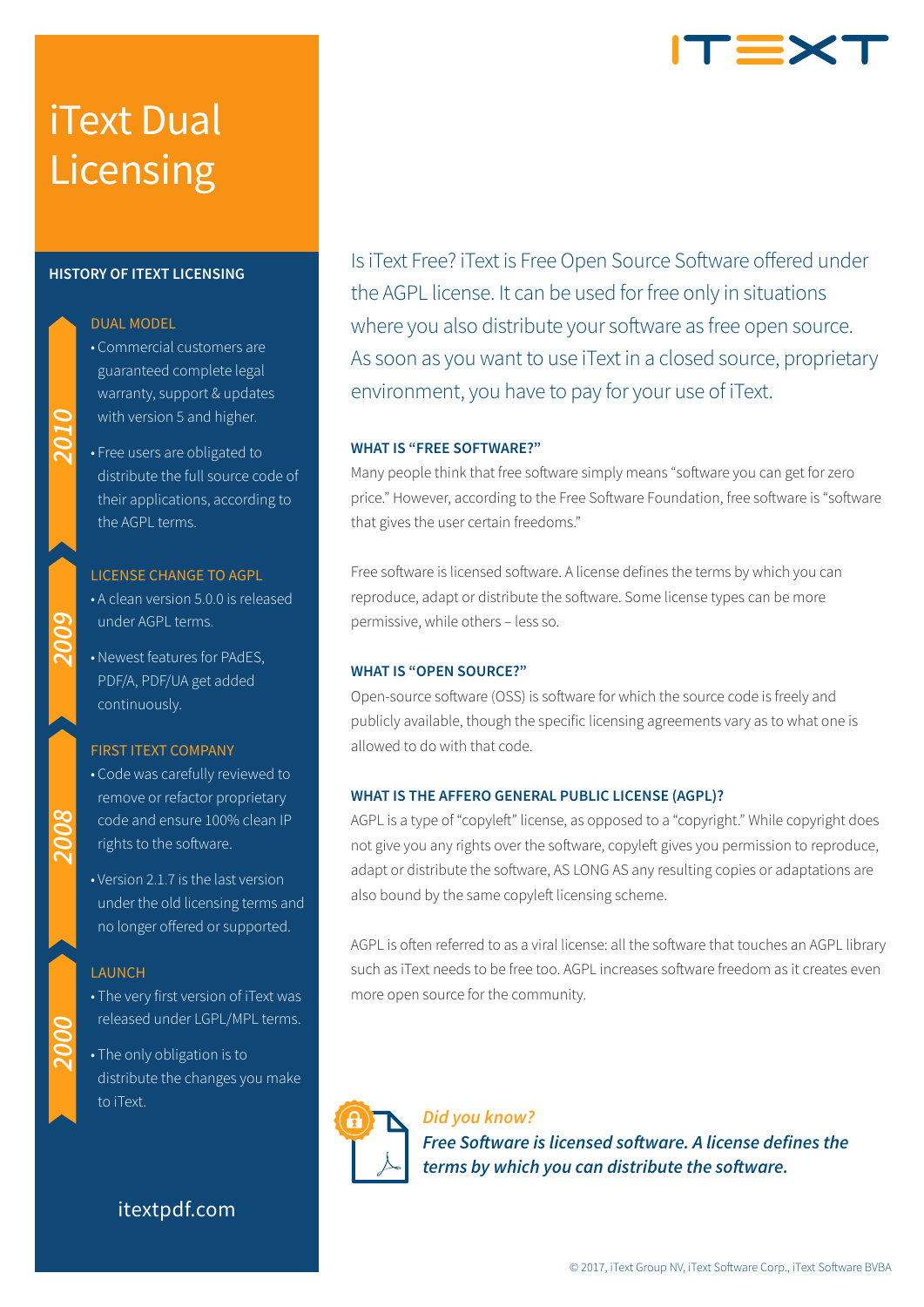# iText Dual Licensing

### **HISTORY OF ITEXT LICENSING**

# DUAL MODEL

- Commercial customers are guaranteed complete legal warranty, support & updates with version 5 and higher.
- Free users are obligated to distribute the full source code of their applications, according to the AGPL terms.

#### LICENSE CHANGE TO AGPL

- A clean version 5.0.0 is released under AGPL terms.
- Newest features for PAdES, PDF/A, PDF/UA get added continuously.

# FIRST ITEXT COMPANY

- Code was carefully reviewed to remove or refactor proprietary code and ensure 100% clean IP rights to the software.
- Version 2.1.7 is the last version under the old licensing terms and no longer offered or supported.

#### **LAUNCH**

2008

- The very first version of iText was released under LGPL/MPL terms.
- The only obligation is to distribute the changes you make to iText.

# itextpdf.com

Is iText Free? iText is Free Open Source Software offered under the AGPL license. It can be used for free only in situations where you also distribute your software as free open source. As soon as you want to use iText in a closed source, proprietary environment, you have to pay for your use of iText.

T=X

## **WHAT IS "FREE SOFTWARE?"**

Many people think that free software simply means "software you can get for zero price." However, according to the Free Software Foundation, free software is "software that gives the user certain freedoms."

Free software is licensed software. A license defines the terms by which you can reproduce, adapt or distribute the software. Some license types can be more permissive, while others – less so.

# **WHAT IS "OPEN SOURCE?"**

Open-source software (OSS) is software for which the source code is freely and publicly available, though the specific licensing agreements vary as to what one is allowed to do with that code.

# **WHAT IS THE AFFERO GENERAL PUBLIC LICENSE (AGPL)?**

AGPL is a type of "copyleft" license, as opposed to a "copyright." While copyright does not give you any rights over the software, copyleft gives you permission to reproduce, adapt or distribute the software, AS LONG AS any resulting copies or adaptations are also bound by the same copyleft licensing scheme.

AGPL is often referred to as a viral license: all the software that touches an AGPL library such as iText needs to be free too. AGPL increases software freedom as it creates even more open source for the community.

*Did you know? Free Software is licensed software. A license defines the terms by which you can distribute the software.*